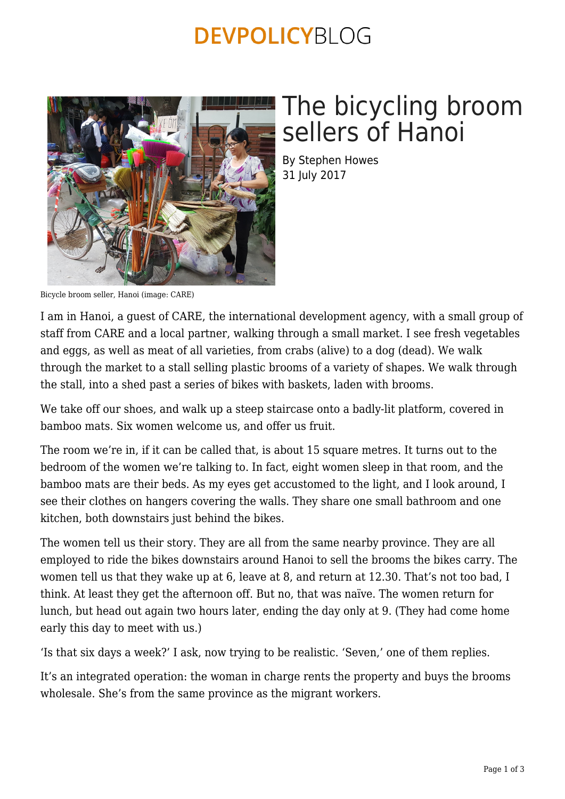### **DEVPOLICYBLOG**



# The bicycling broom sellers of Hanoi

By Stephen Howes 31 July 2017

Bicycle broom seller, Hanoi (image: CARE)

I am in Hanoi, a guest of CARE, the international development agency, with a small group of staff from CARE and a local partner, walking through a small market. I see fresh vegetables and eggs, as well as meat of all varieties, from crabs (alive) to a dog (dead). We walk through the market to a stall selling plastic brooms of a variety of shapes. We walk through the stall, into a shed past a series of bikes with baskets, laden with brooms.

We take off our shoes, and walk up a steep staircase onto a badly-lit platform, covered in bamboo mats. Six women welcome us, and offer us fruit.

The room we're in, if it can be called that, is about 15 square metres. It turns out to the bedroom of the women we're talking to. In fact, eight women sleep in that room, and the bamboo mats are their beds. As my eyes get accustomed to the light, and I look around, I see their clothes on hangers covering the walls. They share one small bathroom and one kitchen, both downstairs just behind the bikes.

The women tell us their story. They are all from the same nearby province. They are all employed to ride the bikes downstairs around Hanoi to sell the brooms the bikes carry. The women tell us that they wake up at 6, leave at 8, and return at 12.30. That's not too bad, I think. At least they get the afternoon off. But no, that was naïve. The women return for lunch, but head out again two hours later, ending the day only at 9. (They had come home early this day to meet with us.)

'Is that six days a week?' I ask, now trying to be realistic. 'Seven,' one of them replies.

It's an integrated operation: the woman in charge rents the property and buys the brooms wholesale. She's from the same province as the migrant workers.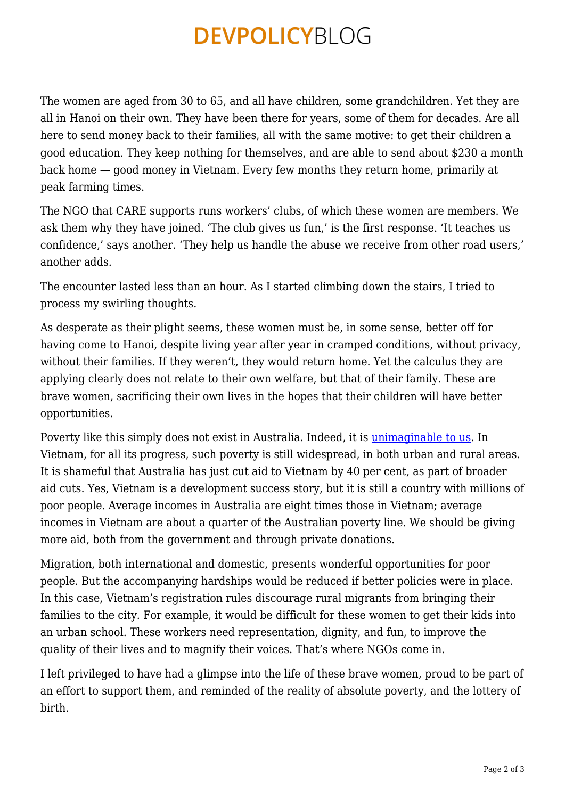### **DEVPOLICYBLOG**

The women are aged from 30 to 65, and all have children, some grandchildren. Yet they are all in Hanoi on their own. They have been there for years, some of them for decades. Are all here to send money back to their families, all with the same motive: to get their children a good education. They keep nothing for themselves, and are able to send about \$230 a month back home — good money in Vietnam. Every few months they return home, primarily at peak farming times.

The NGO that CARE supports runs workers' clubs, of which these women are members. We ask them why they have joined. 'The club gives us fun,' is the first response. 'It teaches us confidence,' says another. 'They help us handle the abuse we receive from other road users,' another adds.

The encounter lasted less than an hour. As I started climbing down the stairs, I tried to process my swirling thoughts.

As desperate as their plight seems, these women must be, in some sense, better off for having come to Hanoi, despite living year after year in cramped conditions, without privacy, without their families. If they weren't, they would return home. Yet the calculus they are applying clearly does not relate to their own welfare, but that of their family. These are brave women, sacrificing their own lives in the hopes that their children will have better opportunities.

Poverty like this simply does not exist in Australia. Indeed, it is *[unimaginable to us](https://devpolicy.org/far-australians-find-acceptable-imaginable-20160711/)*. In Vietnam, for all its progress, such poverty is still widespread, in both urban and rural areas. It is shameful that Australia has just cut aid to Vietnam by 40 per cent, as part of broader aid cuts. Yes, Vietnam is a development success story, but it is still a country with millions of poor people. Average incomes in Australia are eight times those in Vietnam; average incomes in Vietnam are about a quarter of the Australian poverty line. We should be giving more aid, both from the government and through private donations.

Migration, both international and domestic, presents wonderful opportunities for poor people. But the accompanying hardships would be reduced if better policies were in place. In this case, Vietnam's registration rules discourage rural migrants from bringing their families to the city. For example, it would be difficult for these women to get their kids into an urban school. These workers need representation, dignity, and fun, to improve the quality of their lives and to magnify their voices. That's where NGOs come in.

I left privileged to have had a glimpse into the life of these brave women, proud to be part of an effort to support them, and reminded of the reality of absolute poverty, and the lottery of birth.